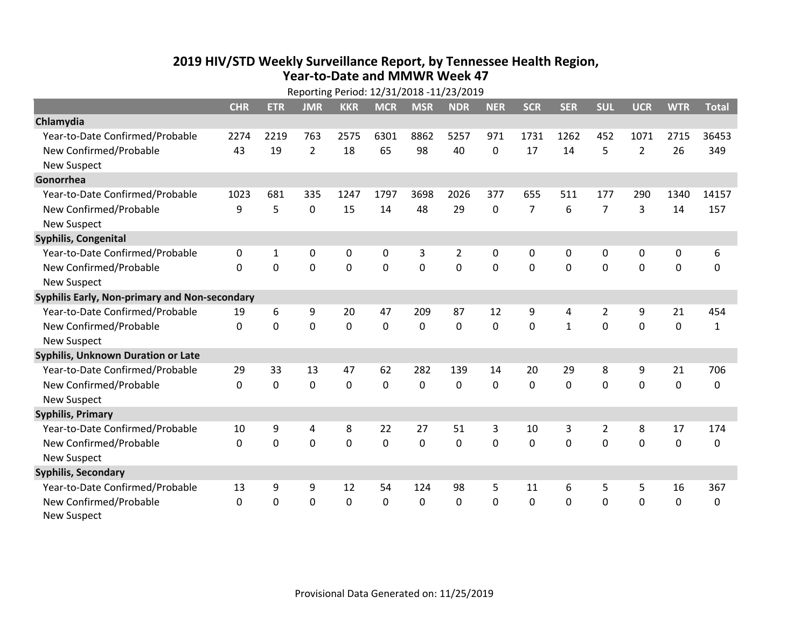## **2019 HIV /STD Weekly Surveillance Report, by Tennessee Health Region, Year‐to‐Date and MMWR Week 47** Reporting Period: 12/31/2018 ‐11/23/2019

|                                               | Reporting Period: 12/31/2018 -11/23/2019 |             |                |            |              |             |                |            |                |              |                |                |             |              |
|-----------------------------------------------|------------------------------------------|-------------|----------------|------------|--------------|-------------|----------------|------------|----------------|--------------|----------------|----------------|-------------|--------------|
|                                               | <b>CHR</b>                               | <b>ETR</b>  | <b>JMR</b>     | <b>KKR</b> | <b>MCR</b>   | <b>MSR</b>  | <b>NDR</b>     | <b>NER</b> | <b>SCR</b>     | <b>SER</b>   | <b>SUL</b>     | <b>UCR</b>     | <b>WTR</b>  | <b>Total</b> |
| Chlamydia                                     |                                          |             |                |            |              |             |                |            |                |              |                |                |             |              |
| Year-to-Date Confirmed/Probable               | 2274                                     | 2219        | 763            | 2575       | 6301         | 8862        | 5257           | 971        | 1731           | 1262         | 452            | 1071           | 2715        | 36453        |
| New Confirmed/Probable                        | 43                                       | 19          | $\overline{2}$ | 18         | 65           | 98          | 40             | 0          | 17             | 14           | 5              | $\overline{2}$ | 26          | 349          |
| <b>New Suspect</b>                            |                                          |             |                |            |              |             |                |            |                |              |                |                |             |              |
| Gonorrhea                                     |                                          |             |                |            |              |             |                |            |                |              |                |                |             |              |
| Year-to-Date Confirmed/Probable               | 1023                                     | 681         | 335            | 1247       | 1797         | 3698        | 2026           | 377        | 655            | 511          | 177            | 290            | 1340        | 14157        |
| New Confirmed/Probable                        | 9                                        | 5           | $\mathbf 0$    | 15         | 14           | 48          | 29             | 0          | $\overline{7}$ | 6            | $\overline{7}$ | 3              | 14          | 157          |
| <b>New Suspect</b>                            |                                          |             |                |            |              |             |                |            |                |              |                |                |             |              |
| <b>Syphilis, Congenital</b>                   |                                          |             |                |            |              |             |                |            |                |              |                |                |             |              |
| Year-to-Date Confirmed/Probable               | 0                                        | 1           | 0              | 0          | 0            | 3           | $\overline{2}$ | 0          | 0              | 0            | 0              | 0              | 0           | 6            |
| New Confirmed/Probable                        | $\Omega$                                 | $\mathbf 0$ | $\overline{0}$ | 0          | $\mathbf 0$  | $\mathbf 0$ | $\overline{0}$ | $\Omega$   | $\mathbf 0$    | $\mathbf 0$  | $\mathbf 0$    | $\overline{0}$ | $\mathbf 0$ | 0            |
| <b>New Suspect</b>                            |                                          |             |                |            |              |             |                |            |                |              |                |                |             |              |
| Syphilis Early, Non-primary and Non-secondary |                                          |             |                |            |              |             |                |            |                |              |                |                |             |              |
| Year-to-Date Confirmed/Probable               | 19                                       | 6           | 9              | 20         | 47           | 209         | 87             | 12         | 9              | 4            | $\overline{2}$ | 9              | 21          | 454          |
| New Confirmed/Probable                        | $\Omega$                                 | $\mathbf 0$ | $\mathbf 0$    | 0          | $\mathbf 0$  | 0           | $\Omega$       | $\Omega$   | $\Omega$       | $\mathbf{1}$ | 0              | $\mathbf 0$    | $\mathbf 0$ | $\mathbf{1}$ |
| <b>New Suspect</b>                            |                                          |             |                |            |              |             |                |            |                |              |                |                |             |              |
| Syphilis, Unknown Duration or Late            |                                          |             |                |            |              |             |                |            |                |              |                |                |             |              |
| Year-to-Date Confirmed/Probable               | 29                                       | 33          | 13             | 47         | 62           | 282         | 139            | 14         | 20             | 29           | 8              | 9              | 21          | 706          |
| New Confirmed/Probable                        | 0                                        | $\mathbf 0$ | $\mathbf 0$    | 0          | 0            | 0           | 0              | $\Omega$   | 0              | $\mathbf 0$  | $\mathbf 0$    | $\mathbf 0$    | $\mathbf 0$ | 0            |
| <b>New Suspect</b>                            |                                          |             |                |            |              |             |                |            |                |              |                |                |             |              |
| <b>Syphilis, Primary</b>                      |                                          |             |                |            |              |             |                |            |                |              |                |                |             |              |
| Year-to-Date Confirmed/Probable               | 10                                       | 9           | 4              | 8          | 22           | 27          | 51             | 3          | 10             | 3            | $\overline{2}$ | 8              | 17          | 174          |
| New Confirmed/Probable                        | 0                                        | $\mathbf 0$ | 0              | 0          | 0            | 0           | $\mathbf 0$    | 0          | 0              | 0            | 0              | $\mathbf 0$    | $\mathbf 0$ | 0            |
| <b>New Suspect</b>                            |                                          |             |                |            |              |             |                |            |                |              |                |                |             |              |
| <b>Syphilis, Secondary</b>                    |                                          |             |                |            |              |             |                |            |                |              |                |                |             |              |
| Year-to-Date Confirmed/Probable               | 13                                       | 9           | 9              | 12         | 54           | 124         | 98             | 5          | 11             | 6            | 5              | 5              | 16          | 367          |
| New Confirmed/Probable                        | $\Omega$                                 | $\Omega$    | 0              | $\Omega$   | $\mathbf{0}$ | $\Omega$    | $\Omega$       | $\Omega$   | $\Omega$       | 0            | $\mathbf 0$    | 0              | 0           | 0            |
| <b>New Suspect</b>                            |                                          |             |                |            |              |             |                |            |                |              |                |                |             |              |